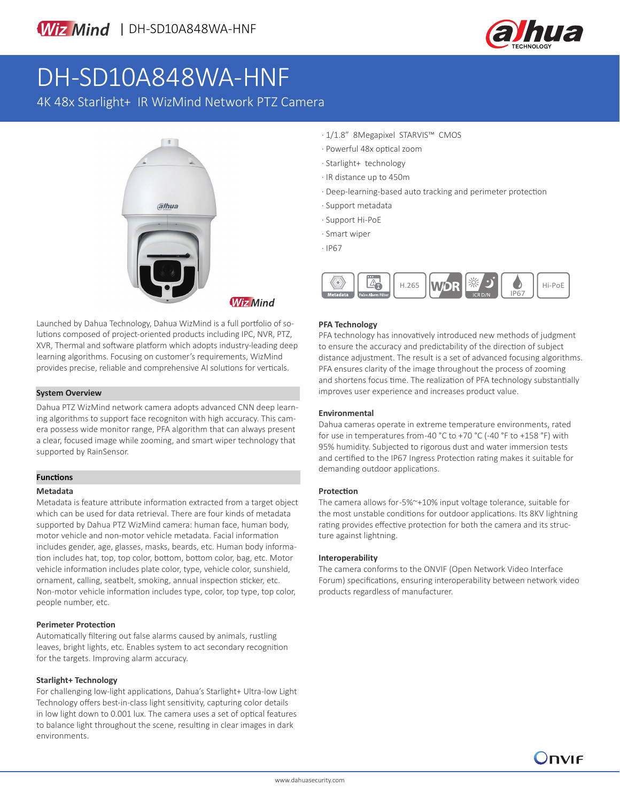

# DH-SD10A848WA-HNF

4K 48x Starlight+ IR WizMind Network PTZ Camera



Launched by Dahua Technology, Dahua WizMind is a full portfolio of solutions composed of project-oriented products including IPC, NVR, PTZ, XVR, Thermal and software platform which adopts industry-leading deep learning algorithms. Focusing on customer's requirements, WizMind provides precise, reliable and comprehensive AI solutions for verticals.

### **System Overview**

Dahua PTZ WizMind network camera adopts advanced CNN deep learning algorithms to support face recogniton with high accuracy. This camera possess wide monitor range, PFA algorithm that can always present a clear, focused image while zooming, and smart wiper technology that supported by RainSensor.

## **Functions**

### **Metadata**

Metadata is feature attribute information extracted from a target object which can be used for data retrieval. There are four kinds of metadata supported by Dahua PTZ WizMind camera: human face, human body, motor vehicle and non-motor vehicle metadata. Facial information includes gender, age, glasses, masks, beards, etc. Human body information includes hat, top, top color, bottom, bottom color, bag, etc. Motor vehicle information includes plate color, type, vehicle color, sunshield, ornament, calling, seatbelt, smoking, annual inspection sticker, etc. Non-motor vehicle information includes type, color, top type, top color, people number, etc.

### **Perimeter Protection**

Automatically filtering out false alarms caused by animals, rustling leaves, bright lights, etc. Enables system to act secondary recognition for the targets. Improving alarm accuracy.

### **Starlight+ Technology**

For challenging low-light applications, Dahua's Starlight+ Ultra-low Light Technology offers best-in-class light sensitivity, capturing color details in low light down to 0.001 lux. The camera uses a set of optical features to balance light throughout the scene, resulting in clear images in dark environments.

- · 1/1.8" 8Megapixel STARVIS™ CMOS
- · Powerful 48x optical zoom
- · Starlight+ technology
- · IR distance up to 450m
- · Deep-learning-based auto tracking and perimeter protection
- · Support metadata
- · Support Hi-PoE
- · Smart wiper
- · IP67



### **PFA Technology**

PFA technology has innovatively introduced new methods of judgment to ensure the accuracy and predictability of the direction of subject distance adjustment. The result is a set of advanced focusing algorithms. PFA ensures clarity of the image throughout the process of zooming and shortens focus time. The realization of PFA technology substantially improves user experience and increases product value.

### **Environmental**

Dahua cameras operate in extreme temperature environments, rated for use in temperatures from -40 °C to +70 °C (-40 °F to +158 °F) with 95% humidity. Subjected to rigorous dust and water immersion tests and certified to the IP67 Ingress Protection rating makes it suitable for demanding outdoor applications.

### **Protection**

The camera allows for -5%~+10% input voltage tolerance, suitable for the most unstable conditions for outdoor applications. Its 8KV lightning rating provides effective protection for both the camera and its structure against lightning.

### **Interoperability**

The camera conforms to the ONVIF (Open Network Video Interface Forum) specifications, ensuring interoperability between network video products regardless of manufacturer.

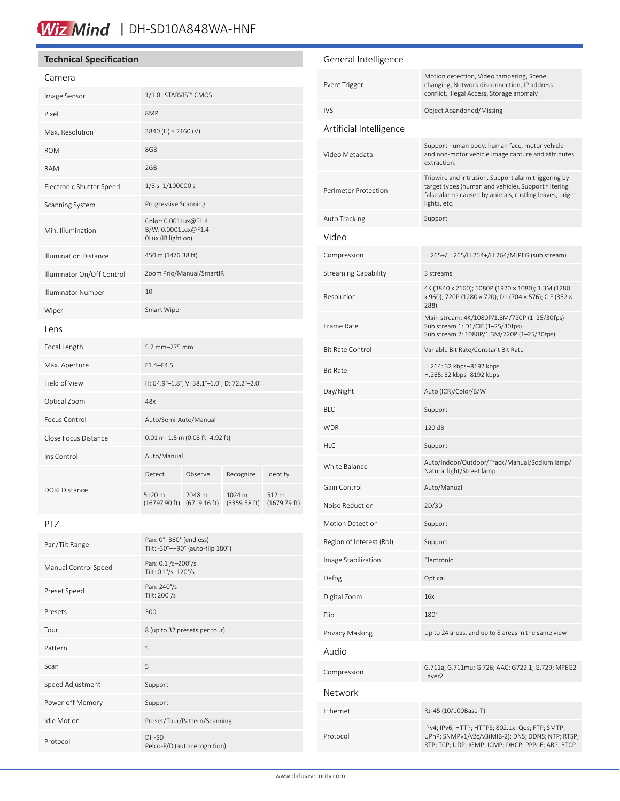# Wiz Mind | DH-SD10A848WA-HNF

### **Technical Specification**

### Camera

| Image Sensor                 | 1/1.8" STARVIS™ CMOS                                              |                                  |                        |                                 |
|------------------------------|-------------------------------------------------------------------|----------------------------------|------------------------|---------------------------------|
| Pixel                        | 8MP                                                               |                                  |                        |                                 |
| Max. Resolution              | 3840 (H) × 2160 (V)                                               |                                  |                        |                                 |
| <b>ROM</b>                   | 8GB                                                               |                                  |                        |                                 |
| <b>RAM</b>                   | 2GB                                                               |                                  |                        |                                 |
| Electronic Shutter Speed     | $1/3$ s- $1/100000$ s                                             |                                  |                        |                                 |
| Scanning System              | Progressive Scanning                                              |                                  |                        |                                 |
| Min. Illumination            | Color: 0.001Lux@F1.4<br>B/W: 0.0001Lux@F1.4<br>OLux (IR light on) |                                  |                        |                                 |
| <b>Illumination Distance</b> | 450 m (1476.38 ft)                                                |                                  |                        |                                 |
| Illuminator On/Off Control   | Zoom Prio/Manual/SmartIR                                          |                                  |                        |                                 |
| Illuminator Number           | 10                                                                |                                  |                        |                                 |
| Wiper                        | Smart Wiper                                                       |                                  |                        |                                 |
| Lens                         |                                                                   |                                  |                        |                                 |
| Focal Length                 | 5.7 mm-275 mm                                                     |                                  |                        |                                 |
| Max. Aperture                | $F1.4 - F4.5$                                                     |                                  |                        |                                 |
| Field of View                | H: 64.9°-1.8°; V: 38.1°-1.0°; D: 72.2°-2.0°                       |                                  |                        |                                 |
| Optical Zoom                 | 48x                                                               |                                  |                        |                                 |
| Focus Control                | Auto/Semi-Auto/Manual                                             |                                  |                        |                                 |
| Close Focus Distance         | 0.01 m-1.5 m (0.03 ft-4.92 ft)                                    |                                  |                        |                                 |
| Iris Control                 | Auto/Manual                                                       |                                  |                        |                                 |
| <b>DORI Distance</b>         | Detect                                                            | Observe                          | Recognize              | Identify                        |
|                              | 5120 m<br>(16797.90 ft)                                           | 2048 m<br>$(6719.16 \text{ ft})$ | 1024 m<br>(3359.58 ft) | 512 m<br>$(1679.79 \text{ ft})$ |

PTZ

| Pan/Tilt Range       | Pan: 0°-360° (endless)<br>Tilt: -30°-+90° (auto-flip 180°) |
|----------------------|------------------------------------------------------------|
| Manual Control Speed | Pan: 0.1%-200%<br>Tilt: 0.1°/s-120°/s                      |
| Preset Speed         | Pan: 240%<br>Tilt: 200%                                    |
| Presets              | 300                                                        |
| Tour                 | 8 (up to 32 presets per tour)                              |
| Pattern              | 5                                                          |
| Scan                 | 5                                                          |
| Speed Adjustment     | Support                                                    |
| Power-off Memory     | Support                                                    |
| <b>Idle Motion</b>   | Preset/Tour/Pattern/Scanning                               |
| Protocol             | DH-SD<br>Pelco-P/D (auto recognition)                      |

### General Intelligence Event Trigger Motion detection, Video tampering, Scene changing, Network disconnection, IP address conflict, Illegal Access, Storage anomaly IVS Object Abandoned/Missing Artificial Intelligence Video Metadata Support human body, human face, motor vehicle and non-motor vehicle image capture and attributes extraction. Perimeter Protection Tripwire and intrusion. Support alarm triggering by target types (human and vehicle). Support filtering false alarms caused by animals, rustling leaves, bright lights, etc. Auto Tracking Support Video Compression H.265+/H.265/H.264+/H.264/MJPEG (sub stream) Streaming Capability 3 streams Resolution 4K (3840 x 2160); 1080P (1920 × 1080); 1.3M (1280 x 960); 720P (1280 × 720); D1 (704 × 576); CIF (352 × 288) Frame Rate Main stream: 4K/1080P/1.3M/720P (1–25/30fps) Sub stream 1: D1/CIF (1–25/30fps) Sub stream 2: 1080P/1.3M/720P (1–25/30fps) Bit Rate Control Variable Bit Rate/Constant Bit Rate Bit Rate H.264: 32 kbps–8192 kbps H.265: 32 kbps–8192 kbps Day/Night Auto (ICR)/Color/B/W BLC Support WDR 120 dB HLC Support White Balance **Auto/Indoor/Outdoor/Track/Manual/Sodium lamp/**<br>Although the Mature light (Change language of the United States) Natural light/Street lamp Gain Control **Auto/Manual** Noise Reduction 2D/3D Motion Detection Support Region of Interest (RoI) Support Image Stabilization Electronic Defog Optical Digital Zoom 16x Flip 180° Privacy Masking Up to 24 areas, and up to 8 areas in the same view Audio Compression G.711a; G.711mu; G.726; AAC; G722.1; G.729; MPEG2- Layer2 Network Ethernet RJ-45 (10/100Base-T) Protocol IPv4; IPv6; HTTP; HTTPS; 802.1x; Qos; FTP; SMTP; UPnP; SNMPv1/v2c/v3(MIB-2); DNS; DDNS; NTP; RTSP; RTP; TCP; UDP; IGMP; ICMP; DHCP; PPPoE; ARP; RTCP